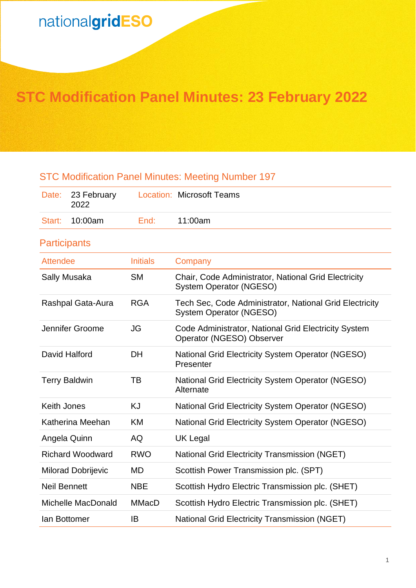# **STC Modification Panel Minutes: 23 February 2022**

# STC Modification Panel Minutes: Meeting Number 197

| Date:                     | 23 February<br>2022  |                 | <b>Location: Microsoft Teams</b>                                                          |
|---------------------------|----------------------|-----------------|-------------------------------------------------------------------------------------------|
| Start:                    | 10:00am              | End:            | 11:00am                                                                                   |
| <b>Participants</b>       |                      |                 |                                                                                           |
| <b>Attendee</b>           |                      | <b>Initials</b> | Company                                                                                   |
| Sally Musaka              |                      | <b>SM</b>       | Chair, Code Administrator, National Grid Electricity<br><b>System Operator (NGESO)</b>    |
|                           | Rashpal Gata-Aura    | <b>RGA</b>      | Tech Sec, Code Administrator, National Grid Electricity<br><b>System Operator (NGESO)</b> |
|                           | Jennifer Groome      | <b>JG</b>       | Code Administrator, National Grid Electricity System<br>Operator (NGESO) Observer         |
| David Halford             |                      | <b>DH</b>       | <b>National Grid Electricity System Operator (NGESO)</b><br>Presenter                     |
|                           | <b>Terry Baldwin</b> | TB              | <b>National Grid Electricity System Operator (NGESO)</b><br>Alternate                     |
| <b>Keith Jones</b>        |                      | <b>KJ</b>       | National Grid Electricity System Operator (NGESO)                                         |
| Katherina Meehan          |                      | <b>KM</b>       | <b>National Grid Electricity System Operator (NGESO)</b>                                  |
| Angela Quinn              |                      | AQ              | <b>UK Legal</b>                                                                           |
| <b>Richard Woodward</b>   |                      | <b>RWO</b>      | <b>National Grid Electricity Transmission (NGET)</b>                                      |
| <b>Milorad Dobrijevic</b> |                      | <b>MD</b>       | Scottish Power Transmission plc. (SPT)                                                    |
| <b>Neil Bennett</b>       |                      | <b>NBE</b>      | Scottish Hydro Electric Transmission plc. (SHET)                                          |
| Michelle MacDonald        |                      | <b>MMacD</b>    | Scottish Hydro Electric Transmission plc. (SHET)                                          |
| lan Bottomer              |                      | IB              | <b>National Grid Electricity Transmission (NGET)</b>                                      |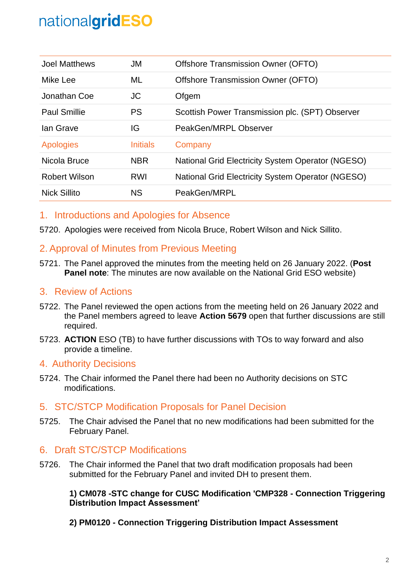| <b>Joel Matthews</b> | JM              | Offshore Transmission Owner (OFTO)                |
|----------------------|-----------------|---------------------------------------------------|
| Mike Lee             | ML              | Offshore Transmission Owner (OFTO)                |
| Jonathan Coe         | JC.             | Ofgem                                             |
| <b>Paul Smillie</b>  | <b>PS</b>       | Scottish Power Transmission plc. (SPT) Observer   |
| lan Grave            | IG              | PeakGen/MRPL Observer                             |
| <b>Apologies</b>     | <b>Initials</b> | Company                                           |
| Nicola Bruce         | <b>NBR</b>      | National Grid Electricity System Operator (NGESO) |
| <b>Robert Wilson</b> | <b>RWI</b>      | National Grid Electricity System Operator (NGESO) |
| <b>Nick Sillito</b>  | <b>NS</b>       | PeakGen/MRPL                                      |

### 1. Introductions and Apologies for Absence

5720. Apologies were received from Nicola Bruce, Robert Wilson and Nick Sillito.

## 2. Approval of Minutes from Previous Meeting

5721. The Panel approved the minutes from the meeting held on 26 January 2022. (**Post Panel note:** The minutes are now available on the National Grid ESO website)

### 3. Review of Actions

- 5722. The Panel reviewed the open actions from the meeting held on 26 January 2022 and the Panel members agreed to leave **Action 5679** open that further discussions are still required.
- 5723. **ACTION** ESO (TB) to have further discussions with TOs to way forward and also provide a timeline.

### 4. Authority Decisions

5724. The Chair informed the Panel there had been no Authority decisions on STC modifications.

### 5. STC/STCP Modification Proposals for Panel Decision

5725. The Chair advised the Panel that no new modifications had been submitted for the February Panel.

### 6. Draft STC/STCP Modifications

5726. The Chair informed the Panel that two draft modification proposals had been submitted for the February Panel and invited DH to present them.

#### **1) CM078 -STC change for CUSC Modification 'CMP328 - Connection Triggering Distribution Impact Assessment'**

**2) PM0120 - Connection Triggering Distribution Impact Assessment**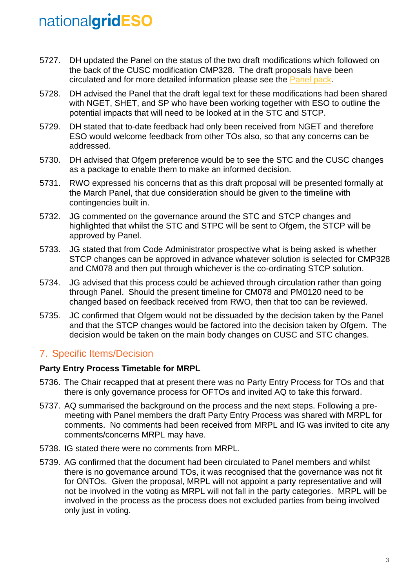- 5727. DH updated the Panel on the status of the two draft modifications which followed on the back of the CUSC modification CMP328. The draft proposals have been circulated and for more detailed information please see the [Panel pack.](https://www.nationalgrideso.com/document/241706/download)
- 5728. DH advised the Panel that the draft legal text for these modifications had been shared with NGET, SHET, and SP who have been working together with ESO to outline the potential impacts that will need to be looked at in the STC and STCP.
- 5729. DH stated that to-date feedback had only been received from NGET and therefore ESO would welcome feedback from other TOs also, so that any concerns can be addressed.
- 5730. DH advised that Ofgem preference would be to see the STC and the CUSC changes as a package to enable them to make an informed decision.
- 5731. RWO expressed his concerns that as this draft proposal will be presented formally at the March Panel, that due consideration should be given to the timeline with contingencies built in.
- 5732. JG commented on the governance around the STC and STCP changes and highlighted that whilst the STC and STPC will be sent to Ofgem, the STCP will be approved by Panel.
- 5733. JG stated that from Code Administrator prospective what is being asked is whether STCP changes can be approved in advance whatever solution is selected for CMP328 and CM078 and then put through whichever is the co-ordinating STCP solution.
- 5734. JG advised that this process could be achieved through circulation rather than going through Panel. Should the present timeline for CM078 and PM0120 need to be changed based on feedback received from RWO, then that too can be reviewed.
- 5735. JC confirmed that Ofgem would not be dissuaded by the decision taken by the Panel and that the STCP changes would be factored into the decision taken by Ofgem. The decision would be taken on the main body changes on CUSC and STC changes.

# 7. Specific Items/Decision

### **Party Entry Process Timetable for MRPL**

- 5736. The Chair recapped that at present there was no Party Entry Process for TOs and that there is only governance process for OFTOs and invited AQ to take this forward.
- 5737. AQ summarised the background on the process and the next steps. Following a premeeting with Panel members the draft Party Entry Process was shared with MRPL for comments. No comments had been received from MRPL and IG was invited to cite any comments/concerns MRPL may have.
- 5738. IG stated there were no comments from MRPL.
- 5739. AG confirmed that the document had been circulated to Panel members and whilst there is no governance around TOs, it was recognised that the governance was not fit for ONTOs. Given the proposal, MRPL will not appoint a party representative and will not be involved in the voting as MRPL will not fall in the party categories. MRPL will be involved in the process as the process does not excluded parties from being involved only just in voting.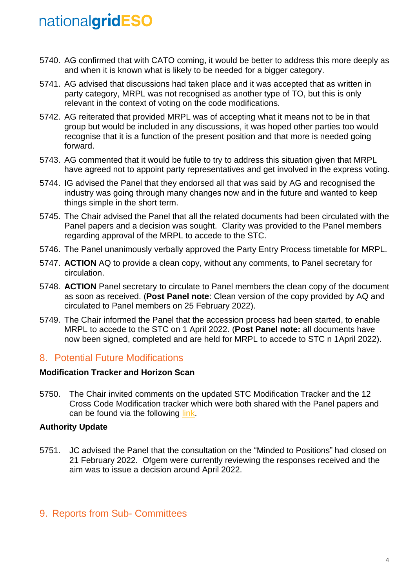- 5740. AG confirmed that with CATO coming, it would be better to address this more deeply as and when it is known what is likely to be needed for a bigger category.
- 5741. AG advised that discussions had taken place and it was accepted that as written in party category, MRPL was not recognised as another type of TO, but this is only relevant in the context of voting on the code modifications.
- 5742. AG reiterated that provided MRPL was of accepting what it means not to be in that group but would be included in any discussions, it was hoped other parties too would recognise that it is a function of the present position and that more is needed going forward.
- 5743. AG commented that it would be futile to try to address this situation given that MRPL have agreed not to appoint party representatives and get involved in the express voting.
- 5744. IG advised the Panel that they endorsed all that was said by AG and recognised the industry was going through many changes now and in the future and wanted to keep things simple in the short term.
- 5745. The Chair advised the Panel that all the related documents had been circulated with the Panel papers and a decision was sought. Clarity was provided to the Panel members regarding approval of the MRPL to accede to the STC.
- 5746. The Panel unanimously verbally approved the Party Entry Process timetable for MRPL.
- 5747. **ACTION** AQ to provide a clean copy, without any comments, to Panel secretary for circulation.
- 5748. **ACTION** Panel secretary to circulate to Panel members the clean copy of the document as soon as received. (**Post Panel note**: Clean version of the copy provided by AQ and circulated to Panel members on 25 February 2022).
- 5749. The Chair informed the Panel that the accession process had been started, to enable MRPL to accede to the STC on 1 April 2022. (**Post Panel note:** all documents have now been signed, completed and are held for MRPL to accede to STC n 1April 2022).

### 8. Potential Future Modifications

#### **Modification Tracker and Horizon Scan**

5750. The Chair invited comments on the updated STC Modification Tracker and the 12 Cross Code Modification tracker which were both shared with the Panel papers and can be found via the following [link.](https://www.nationalgrideso.com/industry-information/codes/system-operator-transmission-owner-code-stc-old/meetings/stc-panel-35)

### **Authority Update**

5751. JC advised the Panel that the consultation on the "Minded to Positions" had closed on 21 February 2022. Ofgem were currently reviewing the responses received and the aim was to issue a decision around April 2022.

### 9. Reports from Sub- Committees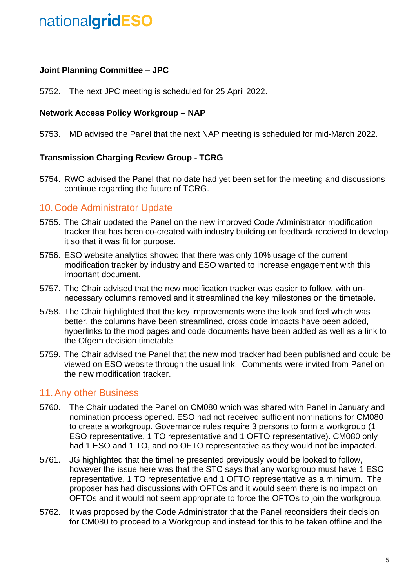#### **Joint Planning Committee – JPC**

5752. The next JPC meeting is scheduled for 25 April 2022.

#### **Network Access Policy Workgroup – NAP**

5753. MD advised the Panel that the next NAP meeting is scheduled for mid-March 2022.

#### **Transmission Charging Review Group - TCRG**

5754. RWO advised the Panel that no date had yet been set for the meeting and discussions continue regarding the future of TCRG.

### 10.Code Administrator Update

- 5755. The Chair updated the Panel on the new improved Code Administrator modification tracker that has been co-created with industry building on feedback received to develop it so that it was fit for purpose.
- 5756. ESO website analytics showed that there was only 10% usage of the current modification tracker by industry and ESO wanted to increase engagement with this important document.
- 5757. The Chair advised that the new modification tracker was easier to follow, with unnecessary columns removed and it streamlined the key milestones on the timetable.
- 5758. The Chair highlighted that the key improvements were the look and feel which was better, the columns have been streamlined, cross code impacts have been added, hyperlinks to the mod pages and code documents have been added as well as a link to the Ofgem decision timetable.
- 5759. The Chair advised the Panel that the new mod tracker had been published and could be viewed on ESO website through the usual link. Comments were invited from Panel on the new modification tracker.

### 11.Any other Business

- 5760. The Chair updated the Panel on CM080 which was shared with Panel in January and nomination process opened. ESO had not received sufficient nominations for CM080 to create a workgroup. Governance rules require 3 persons to form a workgroup (1 ESO representative, 1 TO representative and 1 OFTO representative). CM080 only had 1 ESO and 1 TO, and no OFTO representative as they would not be impacted.
- 5761. JG highlighted that the timeline presented previously would be looked to follow, however the issue here was that the STC says that any workgroup must have 1 ESO representative, 1 TO representative and 1 OFTO representative as a minimum. The proposer has had discussions with OFTOs and it would seem there is no impact on OFTOs and it would not seem appropriate to force the OFTOs to join the workgroup.
- 5762. It was proposed by the Code Administrator that the Panel reconsiders their decision for CM080 to proceed to a Workgroup and instead for this to be taken offline and the